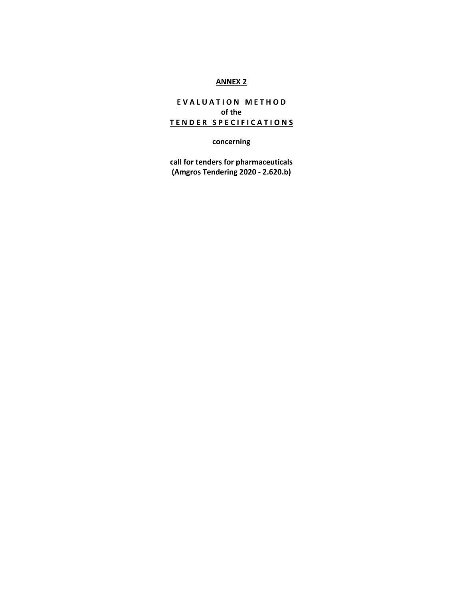## **ANNEX 2**

# **EVALUATION METHOD of the T E N D E R S P E C I F I C A T I O N S**

**concerning**

**call for tenders for pharmaceuticals (Amgros Tendering 2020 - 2.620.b)**